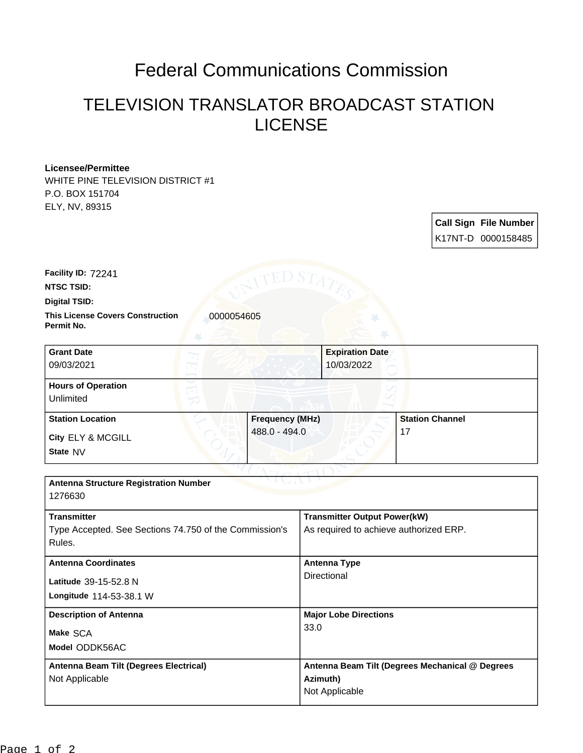## Federal Communications Commission

## TELEVISION TRANSLATOR BROADCAST STATION LICENSE

## **Licensee/Permittee**

WHITE PINE TELEVISION DISTRICT #1 P.O. BOX 151704 ELY, NV, 89315

| <b>Call Sign File Number</b> |
|------------------------------|
| K17NT-D 0000158485           |

**Facility ID:** 72241

**NTSC TSID:**

**Digital TSID:**

**This License Covers Construction 10000054605 Permit No.**

| <b>Grant Date</b><br>09/03/2021        | <b>Expiration Date</b><br>10/03/2022 |                        |
|----------------------------------------|--------------------------------------|------------------------|
| <b>Hours of Operation</b><br>Unlimited |                                      |                        |
| <b>Station Location</b>                | <b>Frequency (MHz)</b>               | <b>Station Channel</b> |
| City ELY & MCGILL<br>State NV          | 488.0 - 494.0                        | 17                     |

| <b>Antenna Structure Registration Number</b><br>1276630 |                                                 |
|---------------------------------------------------------|-------------------------------------------------|
|                                                         |                                                 |
| <b>Transmitter</b>                                      | <b>Transmitter Output Power(kW)</b>             |
| Type Accepted. See Sections 74.750 of the Commission's  | As required to achieve authorized ERP.          |
| Rules.                                                  |                                                 |
| <b>Antenna Coordinates</b>                              | <b>Antenna Type</b>                             |
| Latitude 39-15-52.8 N                                   | Directional                                     |
| Longitude 114-53-38.1 W                                 |                                                 |
| <b>Description of Antenna</b>                           | <b>Major Lobe Directions</b>                    |
| Make SCA                                                | 33.0                                            |
| Model ODDK56AC                                          |                                                 |
| Antenna Beam Tilt (Degrees Electrical)                  | Antenna Beam Tilt (Degrees Mechanical @ Degrees |
| Not Applicable                                          | Azimuth)                                        |
|                                                         | Not Applicable                                  |